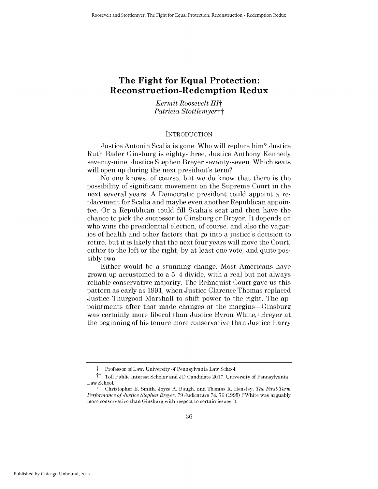# **The Fight for Equal Protection: Reconstruction-Redemption Redux**

*Kermit Roosevelt HIt Patricia Stottlemyertt*

#### **INTRODUCTION**

Justice Antonin Scalia is gone. Who will replace him? Justice Ruth Bader Ginsburg is eighty-three, Justice Anthony Kennedy seventy-nine, Justice Stephen Breyer seventy-seven. Which seats will open up during the next president's term?

No one knows, of course, but we do know that there is the possibility of significant movement on the Supreme Court in the next several years. **A** Democratic president could appoint a replacement for Scalia and maybe even another Republican appointee. Or a Republican could **fill** Scalia's seat and then have the chance to pick the successor to Ginsburg or Breyer. It depends on who wins the presidential election, of course, and also the vagaries of health and other factors that go into a justice's decision to retire, but it is likely that the next four years will move the Court, either to the left or the right, **by** at least one vote, and quite **pos**sibly two.

Either would be a stunning change. Most Americans have grown up accustomed to a 5-4 divide, with a real but not always reliable conservative majority. The Rehnquist Court gave us this pattern as early as **1991,** when Justice Clarence Thomas replaced Justice Thurgood Marshall to shift power to the right. The appointments after that made changes at the margins-Ginsburg was certainly more liberal than Justice Byron White,<sup>1</sup> Breyer at the beginning of his tenure more conservative than Justice Harry

*t* Professor of Law, University of Pennsylvania Law School.

tt Toll Public Interest Scholar and **JD** Candidate **2017,** University of Pennsylvania Law School.

**<sup>I</sup>**Christopher **E.** Smith, Joyce **A.** Baugh, and Thomas R. Hensley, *The First-Term Performance of Justice Stephen Breyer,* **79** Judicature 74, **76 (1995)** ("White was arguably more conservative than Ginsburg with respect to certain issues.").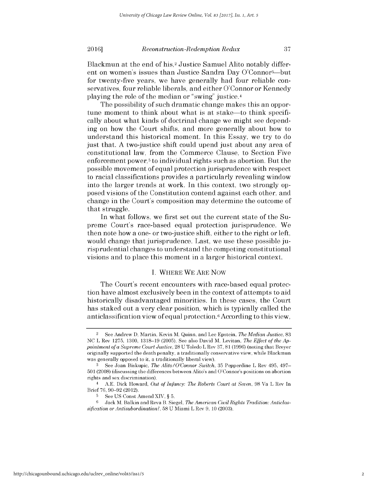# *Reconstruction-Redemption Redux* **20161 37**

Blackmun at the end of **his,2** Justice Samuel Alito notably different on women's issues than Justice Sandra Day O'Connor<sup>3</sup>—but for twenty-five years, we have generally had four reliable conservatives, four reliable liberals, and either O'Connor or Kennedy playing the role of the median or "swing" justice.4

The possibility of such dramatic change makes this an opportune moment to think about what is at stake—to think specifically about what kinds of doctrinal change we might see depending on how the Court shifts, and more generally about how to understand this historical moment. In this Essay, we try to do just that. **A** two-justice shift could upend just about any area of constitutional law, from the Commerce Clause, to Section Five enforcement power,<sup>5</sup> to individual rights such as abortion. But the possible movement of equal protection jurisprudence with respect to racial classifications provides a particularly revealing window into the larger trends at work. In this context, two strongly opposed visions of the Constitution contend against each other, and change in the Court's composition may determine the outcome of that struggle.

In what follows, we first set out the current state of the Supreme Court's race-based equal protection jurisprudence. We then note how a one- or two-justice shift, either to the right or left, would change that jurisprudence. Last, we use these possible jurisprudential changes to understand the competing constitutional visions and to place this moment in a larger historical context.

### **I.** WHERE WE ARE Now

The Court's recent encounters with race-based equal protection have almost exclusively been in the context of attempts to aid historically disadvantaged minorities. In these cases, the Court has staked out a very clear position, which is typically called the anticlassification view of equal protection.6 According to this view,

<sup>2</sup>See Andrew **D.** Martin, Kevin M. Quinn, and Lee Epstein, *The Median Justice, 83* **NC** L Rev **1275, 1300, 1318-19 (2005). See** also David M. Levitan, *The Effect of the Appointment of a Supreme Court Justice,* **28 U** Toledo L Rev **37, 81 (1996)** (noting that Breyer originally supported the death penalty, a traditionally conservative view, while Blackmun was generally opposed to **it,** a traditionally liberal view).

**<sup>3</sup>See** Joan Biskupic, *The Alito/O'Connor Switch,* **35** Pepperdine L Rev 495, 497- **501 (2008)** (discussing the differences between Alito's and O'Connor's positions on abortion rights and sex discrimination).

<sup>4</sup>**A.E.** Dick Howard, *Out of Infancy: The Roberts Court at Seven,* **98** Va L Rev In Brief **76, 90-92** (2012).

**<sup>5</sup> See US** Const Amend XIV, *§* **5.**

**<sup>6</sup>** Jack M. Balkin and Reva B. Siegel, *The American Civil Rights Tradition: Anticlassification or Antisubordination?,* **58 U** Miami L Rev **9, 10 (2003).**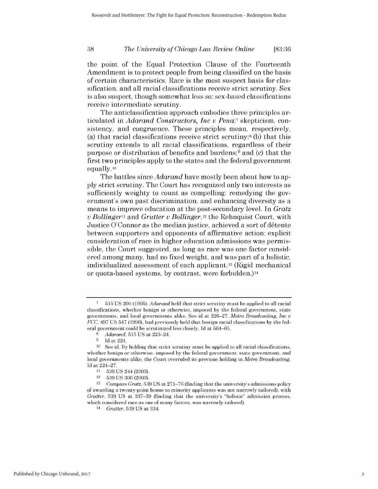# *The University of Chicago Law Review Online* **38 [83:36**

the point of the Equal Protection Clause of the Fourteenth Amendment is to protect people from being classified on the basis of certain characteristics. Race is the most suspect basis for classification, and all racial classifications receive strict scrutiny. Sex is also suspect, though somewhat less so; sex-based classifications receive intermediate scrutiny.

The anticlassification approach embodies three principles articulated in *Adarand Constructors, Inc v Pena:7* skepticism, consistency, and congruence. These principles mean, respectively, (a) that racial classifications receive strict scrutiny;8 **(b)** that this scrutiny extends to all racial classifications, regardless of their purpose or distribution of benefits and burdens; $9$  and (c) that the first two principles apply to the states and the federal government equally. **<sup>10</sup>**

The battles since *Adarand* have mostly been about how to ap**ply** strict scrutiny. The Court has recognized only two interests as sufficiently weighty to count as compelling: remedying the government's own past discrimination, and enhancing diversity as a means to improve education at the post-secondary level. In *Gratz <sup>v</sup>Bollinger"i and Grutter v Bollinger,12* the Rehnquist Court, with Justice  $O'$ Connor as the median justice, achieved a sort of détente between supporters and opponents of affirmative action: explicit consideration of race in higher education admissions was permissible, the Court suggested, as long as race was one factor considered among many, had no fixed weight, and was part of a holistic, individualized assessment of each applicant.13 **(Rigid** mechanical or quota-based systems, **by** contrast, were forbidden.)14

**<sup>7</sup> 515 US** 200 **(1995).** *Adarand* **held** that strict scrutiny must **be** applied to all racial classifications, whether benign or otherwise, imposed **by** the federal government, state governments, and local governments alike. **See** id at **226-27.** *Metro Broadcasting, Inc* **<sup>V</sup>** *FCC, 497* **US** 547 **(1990),** had previously **held** that benign racial classifications **by** the **fed**eral government could **be** scrutinized less closely. **Id** at 564-65.

*<sup>8</sup>Adarand,* **515 US** at 223-24.

**<sup>9</sup> Id** at 224.

**<sup>10</sup> See** id. **By** holding that strict scrutiny must **be** applied to all racial classifications, whether benign or otherwise, imposed **by** the federal government, state government, and local governments alike, the Court overruled its previous holding in *Metro Broadcasting.* **Id** at 224-27.

**<sup>11</sup>539 US** 244 **(2003).**

<sup>12</sup>**539 US** 306 **(2003).**

**<sup>13</sup>**Compare *Gratz,* **539 US** at 271-76 (finding that the university's admissions policy of awarding a twenty-point bonus to minority applicants was not narrowly tailored), with *Grutter,* **539 US** at **337-39** (finding that the university's "holistic" admission process, which considered race as one of many factors, was narrowly tailored).

<sup>14</sup>*Grutter,* **539 US** at 334.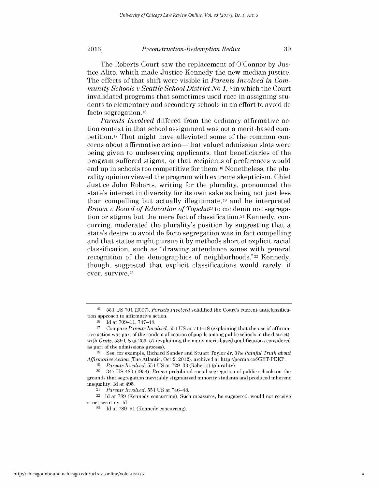#### **20161** *Reconstruction-Redemption Redux* **39**

The effects of that shift were visible in *Parents Involved in Community Schools v Seattle School District No* 1,15 in which the Court invalidated programs that sometimes used race in assigning students to elementary and secondary schools in an effort to avoid de facto segregation. **<sup>16</sup>**

*Parents Involved* differed from the ordinary affirmative action context in that school assignment was not a merit-based competition. **17** That might have alleviated some of the common concerns about affirmative action-that valued admission slots were being given to undeserving applicants, that beneficiaries of the program suffered stigma, or that recipients of preferences would end up in schools too competitive for them. 18 Nonetheless, the plurality opinion viewed the program with extreme skepticism. Chief Justice John Roberts, writing for the plurality, pronounced the state's interest in diversity for its own sake as being not just less than compelling but actually illegitimate, **19** and he interpreted *Brown v Board of Education of Topeka20* to condemn not segregation or stigma but the mere fact of classification.21 Kennedy, concurring, moderated the plurality's position **by** suggesting that a state's desire to avoid de facto segregation was in fact compelling and that states might pursue it **by** methods short of explicit racial classification, such as "drawing attendance zones with general recognition of the demographics of neighborhoods."<sup>22</sup> Kennedy, though, suggested that explicit classifications would rarely, **if** ever, survive.23

**<sup>15</sup> 551 US 701 (2007).** *Parents Involved* solidified the Court's current anticlassification approach to affirmative action.

**<sup>16</sup>Id** at **709-11,** 747-48.

**<sup>17</sup>** Compare *Parents Involved,* **551US** at **711-18** (explaining that the use of affirmative action was part of the random allocation of pupils among public schools in the district), with *Gratz,* **539 US** at **253-57** (explaining the many merit-based qualifications considered as part of the admissions process).

**<sup>18</sup>See,** for example, Richard Sander and Stuart Taylor Jr, *The Painful Truth about Affirmative Action* (The Atlantic, Oct 2, 2012), archived at http://perma.cc/9K3T-PEKP.

*<sup>19</sup>Parents Involved,* **551 US** at **729-33** (Roberts) (plurality).

<sup>20</sup>347 **US** 483 (1954). *Brown* prohibited racial segregation of public schools on the grounds that segregation inevitably stigmatized minority students and produced inherent inequality. **Id** at 495.

<sup>21</sup>*Parents Involved,* **551 US** at 746-48.

<sup>22</sup>**Id** at **789** (Kennedy concurring). Such measures, he suggested, would not receive strict scrutiny. **Id.**

**<sup>23</sup>Id** at **789-91** (Kennedy concurring).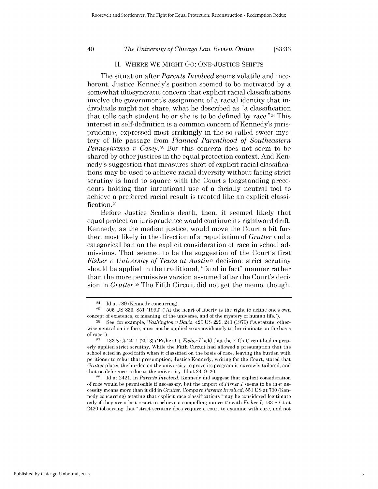# *The University of Chicago Law Review Online* 40 **[83:36**

### **II.** WHERE WE MIGHT **Go: ONE-JUSTICE SHIFTS**

The situation after *Parents Involved* seems volatile and incoherent. Justice Kennedy's position seemed to be motivated **by** a somewhat idiosyncratic concern that explicit racial classifications involve the government's assignment of a racial identity that individuals might not share, what he described as "a classification that tells each student he or she is to be defined **by** race."24 This interest in self-definition is a common concern of Kennedy's jurisprudence, expressed most strikingly in the so-called sweet mystery of life passage from *Planned Parenthood of Southeastern Pennsylvania v Casey.25* But this concern does not seem to be shared **by** other justices in the equal protection context. And Kennedy's suggestion that measures short of explicit racial classifications may be used to achieve racial diversity without facing strict scrutiny is hard to square with the Court's longstanding precedents holding that intentional use of a facially neutral tool to achieve a preferred racial result is treated like an explicit classification.<sup>26</sup>

Before Justice Scalia's death, then, it seemed likely that equal protection jurisprudence would continue its rightward drift. Kennedy, as the median justice, would move the Court a bit further, most likely in the direction of a repudiation of *Grutter* and a categorical ban on the explicit consideration of race in school admissions. That seemed to be the suggestion of the Court's first *Fisher v University of Texas at Austin27* decision: strict scrutiny should be applied in the traditional, "fatal in fact" manner rather than the more permissive version assumed after the Court's decision in *Grutter.28 The* Fifth Circuit **did** not get the memo, though,

<sup>24</sup>**Id** at **789** (Kennedy concurring).

**<sup>25</sup>505 US 833, 851 (1992)** ("At the heart of liberty is the right to define one's own concept of existence, of meaning, of the universe, and of the mystery of human life.").

**<sup>26</sup> See,** for example, *Washington v Davis,* 426 **US 229,** 241 **(1976) ("A** statute, otherwise neutral on its face, must not **be** applied so as invidiously to discriminate on the basis of race.").

**<sup>27</sup> 133 S** Ct 2411 **(2013)** ("Fisher *I"). Fisher I* **held** that the Fifth Circuit had improperly applied strict scrutiny. While the Fifth Circuit had allowed a presumption that the school acted in good faith when it classified on the basis of race, leaving the burden with petitioner to rebut that presumption, Justice Kennedy, writing for the Court, stated that *Grutter places the burden on the university to prove its program is narrowly tailored, and* that no deference is due to the university. **Id** at 2419-20.

**<sup>28</sup>Id** at 2421. In *Parents Involved,* Kennedy did suggest that explicit consideration of race would **be** permissible if necessary, but the import of *Fisher I* seems to **be** that necessity means more than it did in *Grutter. Compare Parents Involved,* **551 US** at **790** (Kennedy concurring) (stating that explicit race classifications "may **be** considered legitimate only if they are a last resort to achieve a compelling interest") with *Fisher 1,* **133 S** Ct at 2420 (observing that "strict scrutiny does require a court to examine with care, and not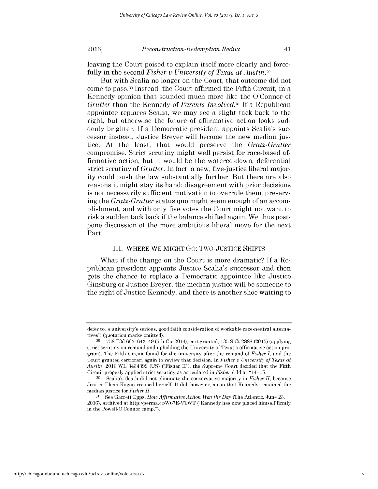leaving the Court poised to explain itself more clearly and forcefully in the second *Fisher v University of Texas at Austin.29*

But with Scalia no longer on the Court, that outcome **did** not come to pass. <sup>30</sup>Instead, the Court affirmed the Fifth Circuit, in a Kennedy opinion that sounded much more like the O'Connor of *Grutter* than the Kennedy of *Parents Involved.31* **If** a Republican appointee replaces Scalia, we may see a slight tack back to the right, but otherwise the future of affirmative action looks suddenly brighter. **If** a Democratic president appoints Scalia's successor instead, Justice Breyer will become the new median **jus**tice. At the least, that would preserve the *Gratz-Grutter* compromise. Strict scrutiny might well persist for race-based affirmative action, but it would be the watered-down, deferential strict scrutiny of *Grutter.* In fact, a new, five-justice liberal majority could push the law substantially further. But there are also reasons it might stay its hand: disagreement with prior decisions is not necessarily sufficient motivation to overrule them, preserving the *Gratz-Grutter* status quo might seem enough of an accomplishment, and with only five votes the Court might not want to risk a sudden tack back **if** the balance shifted again. We thus postpone discussion of the more ambitious liberal move for the next Part.

### III. WHERE WE MIGHT Go: Two-JUSTICE **SHIFTS**

What **if** the change on the Court is more dramatic? **If** a Republican president appoints Justice Scalia's successor and then gets the chance to replace a Democratic appointee like Justice Ginsburg or Justice Breyer, the median justice will be someone to the right of Justice Kennedy, and there is another shoe waiting to

defer to, a university's serious, good faith consideration of workable race-neutral alternatives") (quotation marks omitted).

**<sup>29</sup>758 F3d 663,** 642-49 (5th Cir 2014), cert granted, **135 S** Ct **2888 (2015)** (applying strict scrutiny on remand and upholding the University of Texas's affirmative action program). The Fifth Circuit found for the university after the remand of *Fisher I,* and the Court granted certiorari again to review that decision. In *Fisher v University of Texas at Austin,* 2016 WL 3434399 **(US)** ("Fisher **II"),** the Supreme Court decided that the Fifth Circuit properly applied strict scrutiny as articulated in *Fisher I.* **Id** at \*14-15.

**<sup>30</sup>**Scalia's death did not eliminate the conservative majority in *Fisher II,* because Justice Elena Kagan recused herself. It did, however, mean that Kennedy remained the median justice for *Fisher II.*

**<sup>31</sup> See** Garrett Epps, *How Affirmative Action Won the Day* (The Atlantic, June **23,** 2016), archived at http://perma.cc/W67E-VTWT ("Kennedy has now placed himself firmly in the Powell-O'Connor camp.").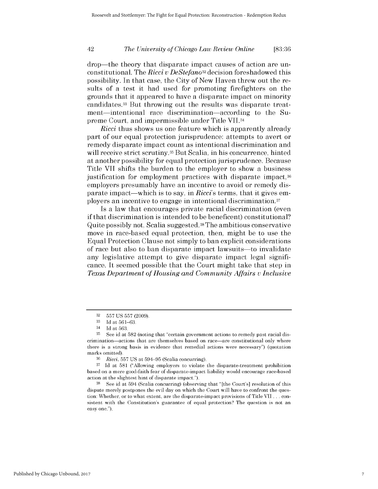# *The University of Chicago Law Review Online* 42 **[83:36**

drop-the theory that disparate impact causes of action are unconstitutional. The *Ricci v DeStefano32* decision foreshadowed this possibility. In that case, the City of New Haven threw out the results of a test it had used for promoting firefighters on the grounds that it appeared to have a disparate impact on minority candidates.33 But throwing out the results was disparate treatment—intentional race discrimination—according to the Supreme Court, and impermissible under Title VII.34

*Ricci* thus shows us one feature which is apparently already part of our equal protection jurisprudence: attempts to avert or remedy disparate impact count as intentional discrimination and will receive strict scrutiny.<sup>35</sup> But Scalia, in his concurrence, hinted at another possibility for equal protection jurisprudence. Because Title VII shifts the burden to the employer to show a business justification for employment practices with disparate impact,<sup>36</sup> employers presumably have an incentive to avoid or remedy **dis**parate impact-which is to say, in *Ricci's* terms, that it gives employers an incentive to engage in intentional discrimination. <sup>37</sup>

Is a law that encourages private racial discrimination (even if that discrimination is intended to be beneficent) constitutional? Quite possibly not, Scalia suggested.38 The ambitious conservative move in race-based equal protection, then, might be to use the Equal Protection Clause not simply to ban explicit considerations of race but also to ban disparate impact lawsuits—to invalidate any legislative attempt to give disparate impact legal significance. It seemed possible that the Court might take that step in *Texas Department of Housing and Community Affairs v Inclusive*

**<sup>32</sup>557 US 557 (2009).**

**<sup>33</sup>Id** *at* **561-63.**

<sup>34</sup>**Id** at **563.**

**<sup>35</sup> See** id at **582** (noting that "certain government actions to remedy past racial discrimination-actions that are themselves based on race-are constitutional only where there is a strong basis in evidence that remedial actions were necessary") (quotation marks omitted).

**<sup>36</sup>***Ricci,* **557 US** at **594-95** (Scalia concurring).

**<sup>37</sup>Id** at **581** ("Allowing employers to violate the disparate-treatment prohibition based on a mere good-faith fear of disparate-impact liability would encourage race-based action at the slightest hint of disparate impact.").

**<sup>38</sup>See** id at 594 (Scalia concurring) (observing that "[the Court's] resolution of this dispute merely postpones the evil day on which the Court will have to confront the question: Whether, or to what extent, are the disparate-impact provisions of Title VII **.** . **.** consistent with the Constitution's guarantee of equal protection? The question is not an easy one.").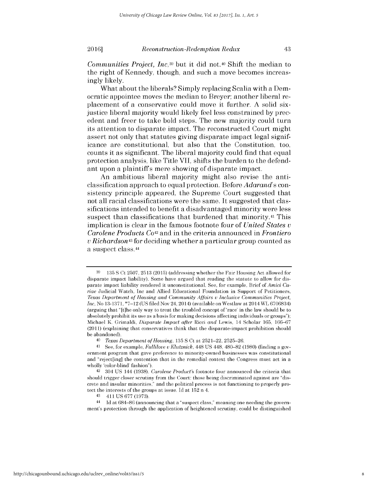What about the liberals? Simply replacing Scalia with a Democratic appointee moves the median to Breyer; another liberal replacement of a conservative could move it further. **A** solid sixjustice liberal majority would likely feel less constrained **by** precedent and freer to take bold steps. The new majority could turn its attention to disparate impact. The reconstructed Court might assert not only that statutes giving disparate impact legal significance are constitutional, but also that the Constitution, too, counts it as significant. The liberal majority could find that equal protection analysis, like Title VII, shifts the burden to the defendant upon a plaintiffs mere showing of disparate impact.

An ambitious liberal majority might also revise the anticlassification approach to equal protection. Before *Adarand's* consistency principle appeared, the Supreme Court suggested that not all racial classifications were the same. It suggested that classifications intended to benefit a disadvantaged minority were less suspect than classifications that burdened that **minority.41** This implication is clear in the famous footnote four of *United States <sup>v</sup> Carolene Products Co42 and* in the criteria announced in *Frontiero <sup>v</sup>Richardson43 for* deciding whether a particular group counted as a suspect class.44

**<sup>39 135</sup> S** Ct **2507, 2513 (2015)** (addressing whether the Fair Housing Act allowed for disparate impact liability). Some have argued that reading the statute to allow for disparate impact liability rendered it unconstitutional. **See,** for example, Brief of *Amici Curiae* Judicial Watch, Inc and Allied Educational Foundation in Support of Petitioners, *Texas Department of Housing and Community Affairs v Inclusive Communities Project,* Inc, No **13-1371, \*7-12 (US filed** Nov 24, 2014) (available on Westlaw at 2014 WL **6706834)** (arguing that **"** [t]he only way to treat the troubled concept of 'race' in the law should **be** to absolutely prohibit its use as a basis for making decisions affecting individuals or groups"); Michael K. Grimaldi, *Disparate Impact after Ricci and* Lewis, 14 Scholar **165, 166-67** (2011) (explaining that conservatives think that the disparate-impact prohibition should **be** abandoned).

*<sup>40</sup>Texas Department of Housing,* **135 S** Ct at **2521-22, 2525-26.**

**<sup>41</sup> See,** for example, *Fullilove v Klutznick,* 448 **US** 448, **480-82 (1980)** (finding a government program that gave preference to minority-owned businesses was constitutional and "reject[ing] the contention that in the remedial context the Congress must act in a wholly 'color-blind' fashion").

<sup>42 304</sup> **US** 144 **(1938).** *Carolene Product's* footnote four announced the criteria that should trigger closer scrutiny from the Court: those being discriminated against are "discrete and insular minorities," and the political process is not functioning to properly protect the interests of the groups at issue. **Id** at **152** n 4.

<sup>43 411</sup> **US 677 (1973).**

**<sup>44</sup> Id** at **684-86** (announcing that a "suspect class," meaning one needing the government's protection through the application of heightened scrutiny, could **be** distinguished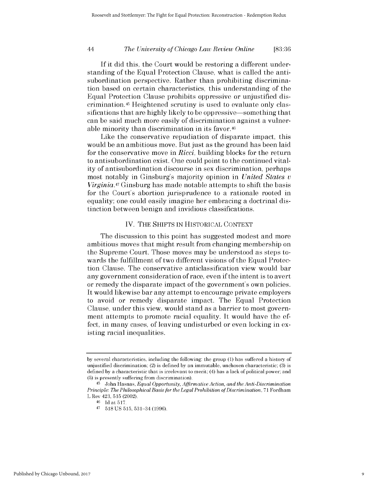# *The University of Chicago Law Review Online* 44 **[83:36**

**If** it **did** this, the Court would be restoring a different understanding of the Equal Protection Clause, what is called the antisubordination perspective. Rather than prohibiting discrimination based on certain characteristics, this understanding of the Equal Protection Clause prohibits oppressive or unjustified **dis**crimination.45 Heightened scrutiny is used to evaluate only classifications that are **highly** likely to be oppressive-something that can be said much more easily of discrimination against a vulnerable minority than discrimination in its favor.<sup>46</sup>

Like the conservative repudiation of disparate impact, this would be an ambitious move. But just as the ground has been laid for the conservative move in Ricci, building blocks for the return to antisubordination exist. One could point to the continued vitality of antisubordination discourse in sex discrimination, perhaps most notably in Ginsburg's majority opinion in *United States <sup>v</sup> Virginia.47* Ginsburg has made notable attempts to shift the basis for the Court's abortion jurisprudence to a rationale rooted in equality; one could easily imagine her embracing a doctrinal **dis**tinction between benign and invidious classifications.

# IV. THE **SHIFTS IN** HISTORICAL **CONTEXT**

The discussion to this point has suggested modest and more ambitious moves that might result from changing membership on the Supreme Court. Those moves may be understood as steps towards the fulfillment of two different visions of the Equal Protection Clause. The conservative anticlassification view would bar any government consideration of race, even **if** the intent is to avert or remedy the disparate impact of the government's own policies. It would likewise bar any attempt to encourage private employers to avoid or remedy disparate impact. The Equal Protection Clause, under this view, would stand as a barrier to most government attempts to promote racial equality. It would have the effect, in many cases, of leaving undisturbed or even locking in existing racial inequalities.

**by** several characteristics, including the following: the group **(1)** has suffered a history **of** unjustified discrimination; (2) is defined **by** an immutable, unchosen characteristic; **(3)** is defined **by** a characteristic that is irrelevant to merit; (4) has a lack of political power; and **(5)** is presently suffering from discrimination).

**<sup>45</sup>**John Hasnas, *Equal Opportunity, Affirmative Action, and the Anti-Discrimination Principle: The Philosophical Basis for the Legal Prohibition of Discrimination,* **71** Fordham L Rev 423, **515** (2002).

**<sup>46</sup>Id** at **517.**

<sup>47</sup>**518 US 515,** 531-34 **(1996).**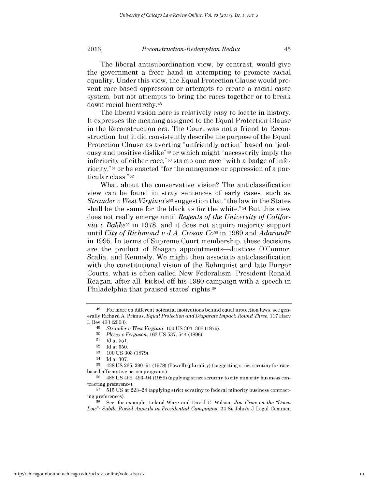# **2016** Reconstruction-Redemption Redux 45

The liberal antisubordination view, **by** contrast, would give the government a freer hand in attempting to promote racial equality. Under this view, the Equal Protection Clause would prevent race-based oppression or attempts to create a racial caste system, but not attempts to bring the races together or to break down racial hierarchy.48

The liberal vision here is relatively easy to locate in history. It expresses the meaning assigned to the Equal Protection Clause in the Reconstruction era. The Court was not a friend to Reconstruction, but it **did** consistently describe the purpose of the Equal Protection Clause as averting "unfriendly action" based on "jealousy and positive dislike"49 or which might "necessarily imply the inferiority of either race," **50** stamp one race "with a badge of inferiority,"51 or be enacted "for the annoyance or oppression of a particular class." **<sup>52</sup>**

What about the conservative vision? The anticlassification view can be found in stray sentences of early cases, such as *Strauder v West Virginia's53* suggestion that "the law in the States shall be the same for the black as for the white."54 But this view does not really emerge until *Regents of the University of California v Bakke55* in **1978,** and it does not acquire majority support until *City of Richmond v J.A. Croson Co56* in **1989** and *Adarand57* in **1995.** In terms of Supreme Court membership, these decisions are the product of Reagan appointments—Justices O'Connor, Scalia, and Kennedy. We might then associate anticlassification with the constitutional vision of the Rehnquist and late Burger Courts, what is often called New Federalism. President Ronald Reagan, after all, kicked off his **1980** campaign with a speech in Philadelphia that praised states' rights.<sup>58</sup>

<sup>48</sup> For more on different potential motivations behind equal protection laws, see generally Richard **A.** Primus, *Equal Protection and Disparate Impact: Round Three,* **117** Harv L Rev 493 **(2003).**

<sup>49</sup>*Strauder u West Virginia, 100* **US 303, 306 (1879).**

**<sup>50</sup>***Plessy u Ferguson,* **163 US 537,** 544 **(1896).**

**<sup>51</sup>Id** at **551.**

**<sup>52</sup>Id** at **550.**

**<sup>53</sup>100 US 303 (1879).**

<sup>54</sup>**Id** at **307.**

**<sup>55</sup>** 438 **US 265, 290-91 (1978)** (Powell) (plurality) (suggesting strict scrutiny for racebased affirmative action programs).

**<sup>56</sup> 488 US** 469, 493-94 **(1989)** (applying strict scrutiny to city minority business contracting preference).

**<sup>57</sup> 515 US** at 223-24 (applying strict scrutiny to federal minority business contracting preferences).

**<sup>58</sup>**See, for example, Leland Ware and David **C.** Wilson, *Jim Crow on the "Down Low": Subtle Racial Appeals in Presidential Campaigns,* 24 St John's **J** Legal Commen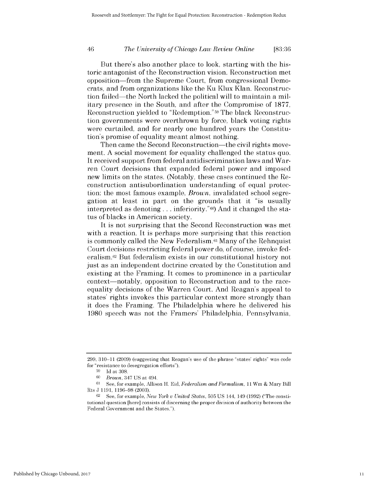# *The University of Chicago Law Review Online* 46 **[83:36**

But there's also another place *to* look, starting with the historic antagonist of the Reconstruction vision. Reconstruction met opposition-from the Supreme Court, from congressional Democrats, and from organizations like the Ku Klux Klan. Reconstruction failed-the North lacked the political will to maintain a military presence in the South, and after the Compromise of **1877,** Reconstruction yielded to "Redemption." 59The black Reconstruction governments were overthrown **by** force, black voting rights were curtailed, and for nearly one hundred years the Constitution's promise of equality meant almost nothing.

Then came the Second Reconstruction—the civil rights movement. **A** social movement for equality challenged the status quo. It received support from federal antidiscrimination laws and Warren Court decisions that expanded federal power and imposed new limits on the states. (Notably, these cases continued the Reconstruction antisubordination understanding of equal protection: the most famous example, *Brown,* invalidated school segregation at least in part on the grounds that it "is usually interpreted as denoting **...** inferiority."60) And it changed the status of blacks in American society.

It is not surprising that the Second Reconstruction was met with a reaction. It is perhaps more surprising that this reaction is commonly called the New Federalism.<sup>61</sup> Many of the Rehnquist Court decisions restricting federal power do, of course, invoke federalism.62 But federalism exists in our constitutional history not just as an independent doctrine created **by** the Constitution and existing at the Framing. It comes to prominence in a particular context—notably, opposition to Reconstruction and to the raceequality decisions of the Warren Court. And Reagan's appeal to states' rights invokes this particular context more strongly than it does the Framing. The Philadelphia where he delivered his **1980** speech was not the Framers' Philadelphia, Pennsylvania,

**<sup>299, 310-11 (2009)</sup>** (suggesting that Reagan's use of the phrase "states' rights" was code for "resistance to desegregation efforts").

**<sup>59</sup>Id** at **308.**

*<sup>60</sup>Brown,* 347 **US** at 494.

**<sup>61</sup>See,** for example, Allison H. Eid, *Federalism and Formalism,* 11 Wm **&** Mary Bill Rts **J 1191, 1196-98 (2003).**

**<sup>62</sup> See,** for example, *New York u United States,* **505 US** 144, 149 **(1992)** ("The constitutional question [here] consists of discerning the proper division of authority between the Federal Government and the States.").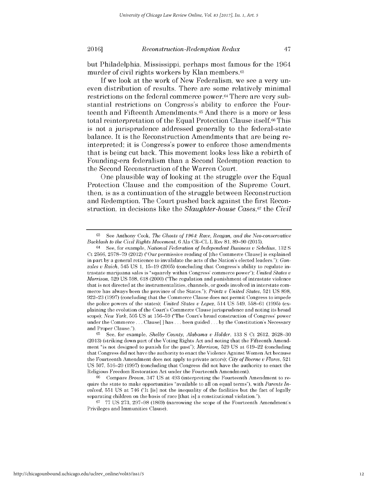but Philadelphia, Mississippi, perhaps most famous for the 1964 murder of civil rights workers **by** Klan members.63

**If** we look at the work of New Federalism, we see a very uneven distribution of results. There are some relatively minimal restrictions on the federal commerce power.64 There are very substantial restrictions on Congress's ability to enforce the Fourteenth and Fifteenth Amendments.<sup>65</sup> And there is a more or less total reinterpretation of the Equal Protection Clause itself.<sup>66</sup> This is not a jurisprudence addressed generally to the federal-state balance. It is the Reconstruction Amendments that are being reinterpreted; it is Congress's power to enforce those amendments that is being cut back. This movement looks less like a rebirth of Founding-era federalism than a Second Redemption reaction to the Second Reconstruction of the Warren Court.

One plausible way of looking at the struggle over the Equal Protection Clause and the composition of the Supreme Court, then, is as a continuation of the struggle between Reconstruction and Redemption. The Court pushed back against the first Reconstruction, in decisions like the *Slaughter-house Cases,67 the Civil*

**<sup>63</sup>**See Anthony Cook, *The Ghosts of 1964: Race, Reagan, and the Neo-conservative Backlash to the Civil Rights Movement,* 6 Ala CR-CL L Rev **81, 89-90 (2015).**

<sup>64</sup>See, for example, *National Federation of Independent Business v Sebelius,* **132 S** Ct **2566, 2578-79** (2012) ("Our permissive reading of [the Commerce Clause] is explained in part **by** a general reticence to invalidate the acts of the Nation's elected leaders."); *Gon*zales *v Raich*,  $545 \text{ US } 1$ ,  $15-19$  (2005) (concluding that Congress's ability to regulate intrastate marijuana sales is "squarely within Congress' commerce power"); *United States <sup>v</sup> Morrison,* **529 US 598,** 618 (2000) ("The regulation and punishment of intrastate violence that is not directed at the instrumentalities, channels, or goods involved in interstate commerce has always been the province of the States."); *Printz v United States,* **521 US 898, 922-23 (1997)** (concluding that the Commerce Clause does not permit Congress to impede the police powers of the states); *United States v Lopez,* 514 **US** 549, 558-61 **(1995)** (explaining the evolution of the Court's Commerce Clause jurisprudence and noting its broad scope); *New York,* **505 US** at 156-59 ("The Court's broad construction of Congress' power under the Commerce **. ..** Clause[] has **. ..** been guided **... by** the Constitution's Necessary and Proper Clause.").

**<sup>65</sup>See,** for example, *Shelby County, Alabama v Holder,* **133 S** Ct 2612, **2628-30 (2013)** (striking down part of the Voting Rights Act and noting that the Fifteenth Amendment "is not designed to punish for the past"); *Morrison,* **529 US** at **619-22** (concluding that Congress did not have the authority to enact the Violence Against Women Act because the Fourteenth Amendment does not apply to private actors); *City of Boerne v Flores,* **521 US 507, 516-20 (1997)** (concluding that Congress did not have the authority to enact the Religious Freedom Restoration Act under the Fourteenth Amendment).

**<sup>66</sup>** Compare *Brown,* 347 **US** at 493 (interpreting the Fourteenth Amendment to require the state to make opportunities "available to all on equal terms"), with *Parents Involved,* **551 US** at 746 ("It [is] not the inequality of the facilities but the fact of legally separating children on the basis of race [that is] a constitutional violation.").

**<sup>67</sup>77 US 273, 297-98 (1869)** (narrowing the scope of the Fourteenth Amendment's Privileges and Immunities Clause).